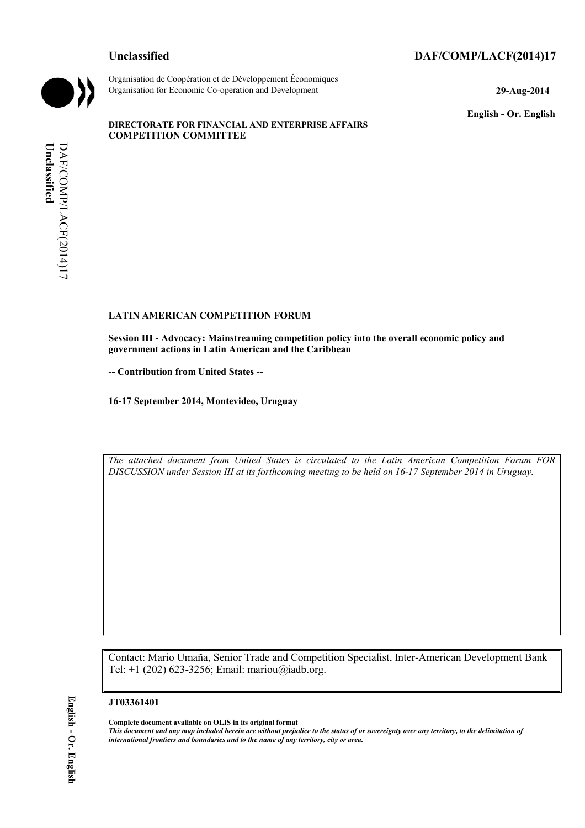# **Unclassified DAF/COMP/LACF(2014)17**



**Unclassified** 

Unclassified

DAF/COMP/LACF(2014)17

DAF/COMP/LACF(2014)17

Organisation de Coopération et de Développement Économiques Organisation for Economic Co-operation and Development **29-Aug-2014** 

**English - Or. English** 

#### **DIRECTORATE FOR FINANCIAL AND ENTERPRISE AFFAIRS COMPETITION COMMITTEE**

#### **LATIN AMERICAN COMPETITION FORUM**

**Session III - Advocacy: Mainstreaming competition policy into the overall economic policy and government actions in Latin American and the Caribbean** 

**-- Contribution from United States --**

**16-17 September 2014, Montevideo, Uruguay** 

*The attached document from United States is circulated to the Latin American Competition Forum FOR DISCUSSION under Session III at its forthcoming meeting to be held on 16-17 September 2014 in Uruguay.* 

Contact: Mario Umaña, Senior Trade and Competition Specialist, Inter-American Development Bank Tel: +1 (202) 623-3256; Email: mariou@iadb.org.

#### **JT03361401**

 **Complete document available on OLIS in its original format** 

 *This document and any map included herein are without prejudice to the status of or sovereignty over any territory, to the delimitation of international frontiers and boundaries and to the name of any territory, city or area.*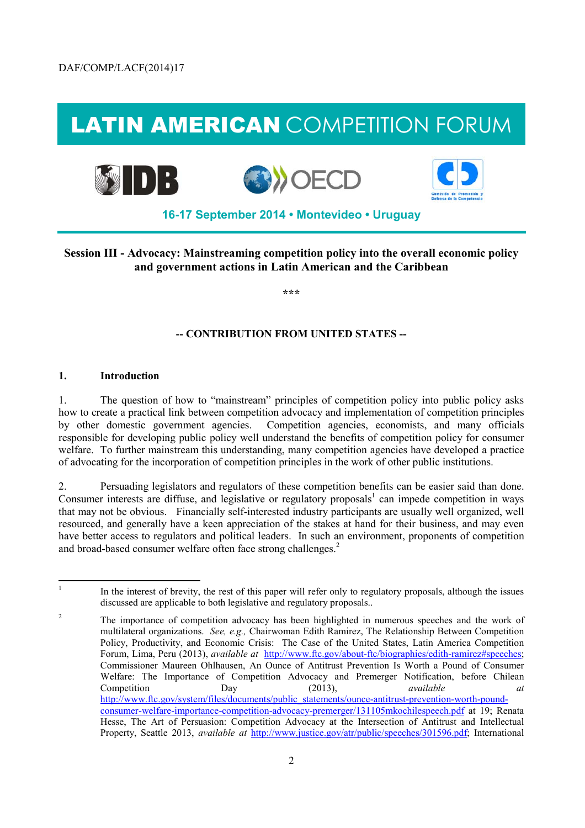# LATIN AMERICAN COMPETITION FORUM



**Session III - Advocacy: Mainstreaming competition policy into the overall economic policy and government actions in Latin American and the Caribbean** 

**\*\*\*** 

# **-- CONTRIBUTION FROM UNITED STATES --**

#### **1. Introduction**

l

1. The question of how to "mainstream" principles of competition policy into public policy asks how to create a practical link between competition advocacy and implementation of competition principles by other domestic government agencies. Competition agencies, economists, and many officials responsible for developing public policy well understand the benefits of competition policy for consumer welfare. To further mainstream this understanding, many competition agencies have developed a practice of advocating for the incorporation of competition principles in the work of other public institutions.

 2. Persuading legislators and regulators of these competition benefits can be easier said than done. Consumer interests are diffuse, and legislative or regulatory proposals<sup>1</sup> can impede competition in ways that may not be obvious. Financially self-interested industry participants are usually well organized, well resourced, and generally have a keen appreciation of the stakes at hand for their business, and may even have better access to regulators and political leaders. In such an environment, proponents of competition and broad-based consumer welfare often face strong challenges.<sup>2</sup>

In the interest of brevity, the rest of this paper will refer only to regulatory proposals, although the issues discussed are applicable to both legislative and regulatory proposals..

 $\overline{c}$  Forum, Lima, Peru (2013), *available at* http://www.ftc.gov/about-ftc/biographies/edith-ramirez#speeches; Dav The importance of competition advocacy has been highlighted in numerous speeches and the work of multilateral organizations. *See, e.g.,* Chairwoman Edith Ramirez, The Relationship Between Competition Policy, Productivity, and Economic Crisis: The Case of the United States, Latin America Competition Commissioner Maureen Ohlhausen, An Ounce of Antitrust Prevention Is Worth a Pound of Consumer Welfare: The Importance of Competition Advocacy and Premerger Notification, before Chilean Competition Day (2013), *available at*  http://www.ftc.gov/system/files/documents/public\_statements/ounce-antitrust-prevention-worth-poundconsumer-welfare-importance-competition-advocacy-premerger/131105mkochilespeech.pdf at 19; Renata Hesse, The Art of Persuasion: Competition Advocacy at the Intersection of Antitrust and Intellectual Property, Seattle 2013, *available at* http://www.justice.gov/atr/public/speeches/301596.pdf; International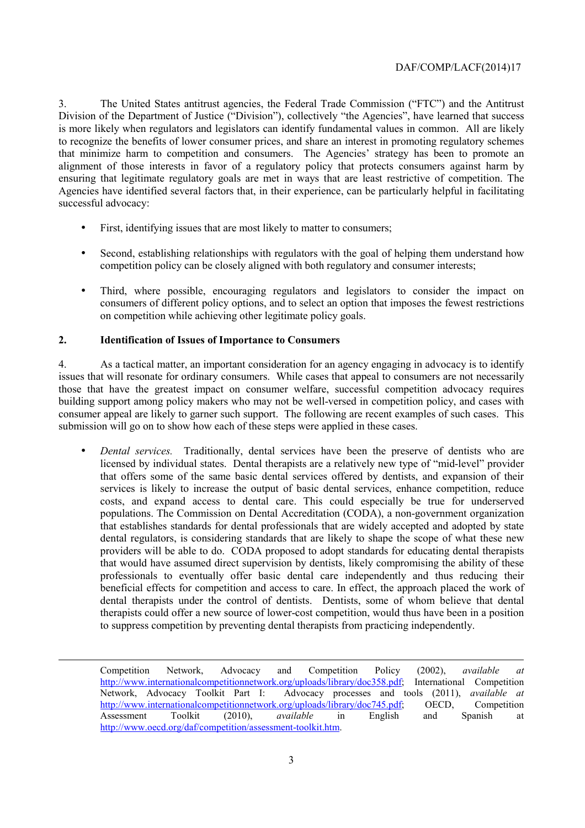that minimize harm to competition and consumers. The Agencies' strategy has been to promote an Agencies have identified several factors that, in their experience, can be particularly helpful in facilitating 3. The United States antitrust agencies, the Federal Trade Commission ("FTC") and the Antitrust Division of the Department of Justice ("Division"), collectively "the Agencies", have learned that success is more likely when regulators and legislators can identify fundamental values in common. All are likely to recognize the benefits of lower consumer prices, and share an interest in promoting regulatory schemes alignment of those interests in favor of a regulatory policy that protects consumers against harm by ensuring that legitimate regulatory goals are met in ways that are least restrictive of competition. The successful advocacy:

- • First, identifying issues that are most likely to matter to consumers;
- Second, establishing relationships with regulators with the goal of helping them understand how competition policy can be closely aligned with both regulatory and consumer interests;
- Third, where possible, encouraging regulators and legislators to consider the impact on consumers of different policy options, and to select an option that imposes the fewest restrictions on competition while achieving other legitimate policy goals.

# **2. Identification of Issues of Importance to Consumers**

-

4. As a tactical matter, an important consideration for an agency engaging in advocacy is to identify issues that will resonate for ordinary consumers. While cases that appeal to consumers are not necessarily those that have the greatest impact on consumer welfare, successful competition advocacy requires building support among policy makers who may not be well-versed in competition policy, and cases with consumer appeal are likely to garner such support. The following are recent examples of such cases. This submission will go on to show how each of these steps were applied in these cases.

 • *Dental services.* Traditionally, dental services have been the preserve of dentists who are dental regulators, is considering standards that are likely to shape the scope of what these new providers will be able to do. CODA proposed to adopt standards for educating dental therapists licensed by individual states. Dental therapists are a relatively new type of "mid-level" provider that offers some of the same basic dental services offered by dentists, and expansion of their services is likely to increase the output of basic dental services, enhance competition, reduce costs, and expand access to dental care. This could especially be true for underserved populations. The Commission on Dental Accreditation (CODA), a non-government organization that establishes standards for dental professionals that are widely accepted and adopted by state that would have assumed direct supervision by dentists, likely compromising the ability of these professionals to eventually offer basic dental care independently and thus reducing their beneficial effects for competition and access to care. In effect, the approach placed the work of dental therapists under the control of dentists. Dentists, some of whom believe that dental therapists could offer a new source of lower-cost competition, would thus have been in a position to suppress competition by preventing dental therapists from practicing independently.

Network, Advocacy Toolkit Part I: Competition Network, Advocacy and Competition Policy (2002), *available at*  http://www.internationalcompetitionnetwork.org/uploads/library/doc358.pdf; International Competition Advocacy processes and tools (2011), *available at* http://www.internationalcompetitionnetwork.org/uploads/library/doc745.pdf; OECD, Competition Assessment Toolkit (2010), *available* in English and Spanish at http://www.oecd.org/daf/competition/assessment-toolkit.htm.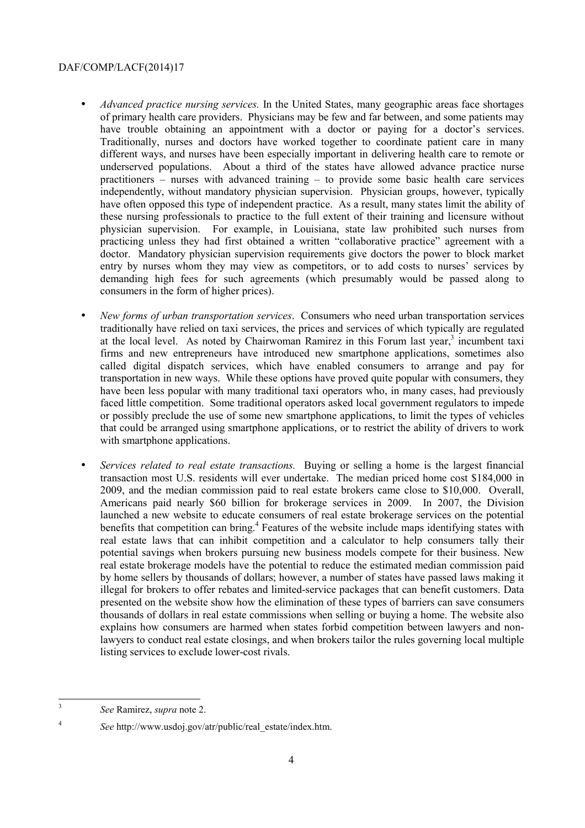- entry by nurses whom they may view as competitors, or to add costs to nurses' services by • *Advanced practice nursing services.* In the United States, many geographic areas face shortages of primary health care providers. Physicians may be few and far between, and some patients may have trouble obtaining an appointment with a doctor or paying for a doctor's services. Traditionally, nurses and doctors have worked together to coordinate patient care in many different ways, and nurses have been especially important in delivering health care to remote or underserved populations. About a third of the states have allowed advance practice nurse practitioners – nurses with advanced training – to provide some basic health care services independently, without mandatory physician supervision. Physician groups, however, typically have often opposed this type of independent practice. As a result, many states limit the ability of these nursing professionals to practice to the full extent of their training and licensure without physician supervision. For example, in Louisiana, state law prohibited such nurses from practicing unless they had first obtained a written "collaborative practice" agreement with a doctor. Mandatory physician supervision requirements give doctors the power to block market demanding high fees for such agreements (which presumably would be passed along to consumers in the form of higher prices).
- *New forms of urban transportation services*. Consumers who need urban transportation services traditionally have relied on taxi services, the prices and services of which typically are regulated at the local level. As noted by Chairwoman Ramirez in this Forum last year,<sup>3</sup> incumbent taxi firms and new entrepreneurs have introduced new smartphone applications, sometimes also called digital dispatch services, which have enabled consumers to arrange and pay for transportation in new ways. While these options have proved quite popular with consumers, they have been less popular with many traditional taxi operators who, in many cases, had previously faced little competition. Some traditional operators asked local government regulators to impede or possibly preclude the use of some new smartphone applications, to limit the types of vehicles that could be arranged using smartphone applications, or to restrict the ability of drivers to work with smartphone applications.
- *Services related to real estate transactions.* Buying or selling a home is the largest financial transaction most U.S. residents will ever undertake. The median priced home cost \$184,000 in 2009, and the median commission paid to real estate brokers came close to \$10,000. Overall, Americans paid nearly \$60 billion for brokerage services in 2009. In 2007, the Division launched a new website to educate consumers of real estate brokerage services on the potential benefits that competition can bring.<sup>4</sup> Features of the website include maps identifying states with real estate laws that can inhibit competition and a calculator to help consumers tally their potential savings when brokers pursuing new business models compete for their business. New real estate brokerage models have the potential to reduce the estimated median commission paid by home sellers by thousands of dollars; however, a number of states have passed laws making it illegal for brokers to offer rebates and limited-service packages that can benefit customers. Data presented on the website show how the elimination of these types of barriers can save consumers thousands of dollars in real estate commissions when selling or buying a home. The website also explains how consumers are harmed when states forbid competition between lawyers and nonlawyers to conduct real estate closings, and when brokers tailor the rules governing local multiple listing services to exclude lower-cost rivals.

<sup>3</sup>*See* Ramirez, *supra* note 2.

<sup>4</sup>*See* http://www.usdoj.gov/atr/public/real\_estate/index.htm.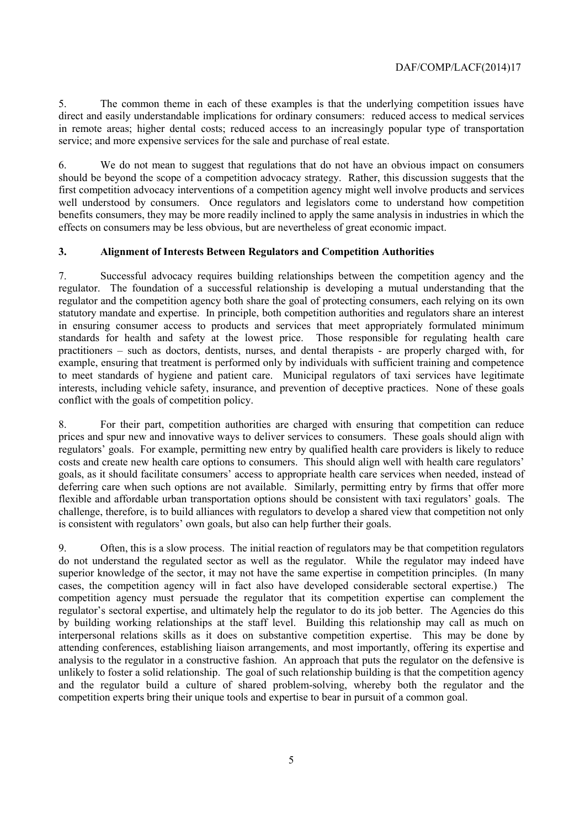5. The common theme in each of these examples is that the underlying competition issues have direct and easily understandable implications for ordinary consumers: reduced access to medical services in remote areas; higher dental costs; reduced access to an increasingly popular type of transportation service; and more expensive services for the sale and purchase of real estate.

 6. We do not mean to suggest that regulations that do not have an obvious impact on consumers should be beyond the scope of a competition advocacy strategy. Rather, this discussion suggests that the first competition advocacy interventions of a competition agency might well involve products and services well understood by consumers. Once regulators and legislators come to understand how competition benefits consumers, they may be more readily inclined to apply the same analysis in industries in which the effects on consumers may be less obvious, but are nevertheless of great economic impact.

# **3. Alignment of Interests Between Regulators and Competition Authorities**

7. Successful advocacy requires building relationships between the competition agency and the regulator. The foundation of a successful relationship is developing a mutual understanding that the regulator and the competition agency both share the goal of protecting consumers, each relying on its own statutory mandate and expertise. In principle, both competition authorities and regulators share an interest in ensuring consumer access to products and services that meet appropriately formulated minimum standards for health and safety at the lowest price. Those responsible for regulating health care practitioners – such as doctors, dentists, nurses, and dental therapists - are properly charged with, for example, ensuring that treatment is performed only by individuals with sufficient training and competence to meet standards of hygiene and patient care. Municipal regulators of taxi services have legitimate interests, including vehicle safety, insurance, and prevention of deceptive practices. None of these goals conflict with the goals of competition policy.

 flexible and affordable urban transportation options should be consistent with taxi regulators' goals. The 8. For their part, competition authorities are charged with ensuring that competition can reduce prices and spur new and innovative ways to deliver services to consumers. These goals should align with regulators' goals. For example, permitting new entry by qualified health care providers is likely to reduce costs and create new health care options to consumers. This should align well with health care regulators' goals, as it should facilitate consumers' access to appropriate health care services when needed, instead of deferring care when such options are not available. Similarly, permitting entry by firms that offer more challenge, therefore, is to build alliances with regulators to develop a shared view that competition not only is consistent with regulators' own goals, but also can help further their goals.

 cases, the competition agency will in fact also have developed considerable sectoral expertise.) The analysis to the regulator in a constructive fashion. An approach that puts the regulator on the defensive is 9. Often, this is a slow process. The initial reaction of regulators may be that competition regulators do not understand the regulated sector as well as the regulator. While the regulator may indeed have superior knowledge of the sector, it may not have the same expertise in competition principles. (In many competition agency must persuade the regulator that its competition expertise can complement the regulator's sectoral expertise, and ultimately help the regulator to do its job better. The Agencies do this by building working relationships at the staff level. Building this relationship may call as much on interpersonal relations skills as it does on substantive competition expertise. This may be done by attending conferences, establishing liaison arrangements, and most importantly, offering its expertise and unlikely to foster a solid relationship. The goal of such relationship building is that the competition agency and the regulator build a culture of shared problem-solving, whereby both the regulator and the competition experts bring their unique tools and expertise to bear in pursuit of a common goal.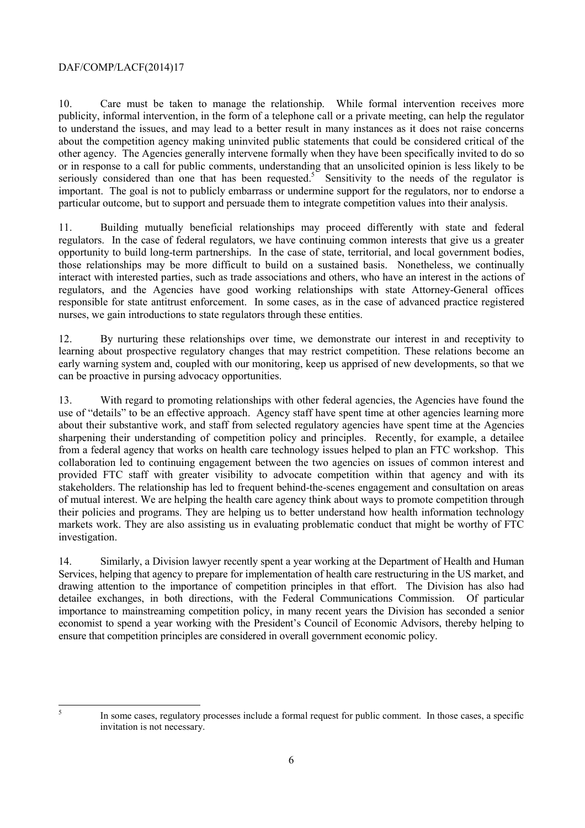about the competition agency making uninvited public statements that could be considered critical of the 10. Care must be taken to manage the relationship. While formal intervention receives more publicity, informal intervention, in the form of a telephone call or a private meeting, can help the regulator to understand the issues, and may lead to a better result in many instances as it does not raise concerns other agency. The Agencies generally intervene formally when they have been specifically invited to do so or in response to a call for public comments, understanding that an unsolicited opinion is less likely to be seriously considered than one that has been requested.<sup>5</sup> Sensitivity to the needs of the regulator is important. The goal is not to publicly embarrass or undermine support for the regulators, nor to endorse a particular outcome, but to support and persuade them to integrate competition values into their analysis.

11. Building mutually beneficial relationships may proceed differently with state and federal regulators. In the case of federal regulators, we have continuing common interests that give us a greater opportunity to build long-term partnerships. In the case of state, territorial, and local government bodies, those relationships may be more difficult to build on a sustained basis. Nonetheless, we continually interact with interested parties, such as trade associations and others, who have an interest in the actions of regulators, and the Agencies have good working relationships with state Attorney-General offices responsible for state antitrust enforcement. In some cases, as in the case of advanced practice registered nurses, we gain introductions to state regulators through these entities.

12. By nurturing these relationships over time, we demonstrate our interest in and receptivity to learning about prospective regulatory changes that may restrict competition. These relations become an early warning system and, coupled with our monitoring, keep us apprised of new developments, so that we can be proactive in pursing advocacy opportunities.

13. With regard to promoting relationships with other federal agencies, the Agencies have found the use of "details" to be an effective approach. Agency staff have spent time at other agencies learning more about their substantive work, and staff from selected regulatory agencies have spent time at the Agencies sharpening their understanding of competition policy and principles. Recently, for example, a detailee from a federal agency that works on health care technology issues helped to plan an FTC workshop. This collaboration led to continuing engagement between the two agencies on issues of common interest and provided FTC staff with greater visibility to advocate competition within that agency and with its stakeholders. The relationship has led to frequent behind-the-scenes engagement and consultation on areas of mutual interest. We are helping the health care agency think about ways to promote competition through their policies and programs. They are helping us to better understand how health information technology markets work. They are also assisting us in evaluating problematic conduct that might be worthy of FTC investigation.

ensure that competition principles are considered in overall government economic policy. 14. Similarly, a Division lawyer recently spent a year working at the Department of Health and Human Services, helping that agency to prepare for implementation of health care restructuring in the US market, and drawing attention to the importance of competition principles in that effort. The Division has also had detailee exchanges, in both directions, with the Federal Communications Commission. Of particular importance to mainstreaming competition policy, in many recent years the Division has seconded a senior economist to spend a year working with the President's Council of Economic Advisors, thereby helping to

 5

In some cases, regulatory processes include a formal request for public comment. In those cases, a specific invitation is not necessary.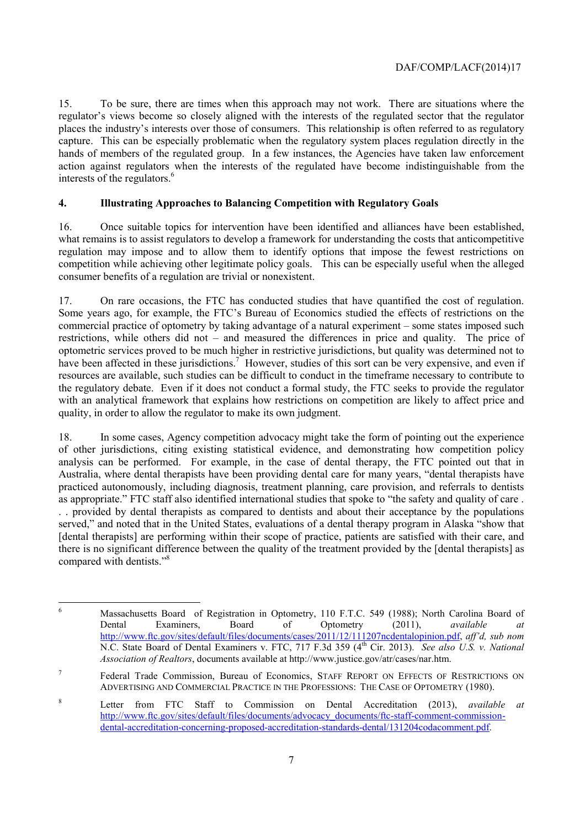15. To be sure, there are times when this approach may not work. There are situations where the regulator's views become so closely aligned with the interests of the regulated sector that the regulator places the industry's interests over those of consumers. This relationship is often referred to as regulatory capture. This can be especially problematic when the regulatory system places regulation directly in the hands of members of the regulated group. In a few instances, the Agencies have taken law enforcement action against regulators when the interests of the regulated have become indistinguishable from the interests of the regulators.<sup>6</sup>

#### **4. Illustrating Approaches to Balancing Competition with Regulatory Goals**

16. Once suitable topics for intervention have been identified and alliances have been established, what remains is to assist regulators to develop a framework for understanding the costs that anticompetitive regulation may impose and to allow them to identify options that impose the fewest restrictions on competition while achieving other legitimate policy goals. This can be especially useful when the alleged consumer benefits of a regulation are trivial or nonexistent.

On rare occasions, the FTC has conducted studies that have quantified the cost of regulation. resources are available, such studies can be difficult to conduct in the timeframe necessary to contribute to 17. On rare occasions, the FTC has conducted studies that have quantified the cost of regulation. Some years ago, for example, the FTC's Bureau of Economics studied the effects of restrictions on the commercial practice of optometry by taking advantage of a natural experiment – some states imposed such restrictions, while others did not – and measured the differences in price and quality. The price of optometric services proved to be much higher in restrictive jurisdictions, but quality was determined not to have been affected in these jurisdictions.<sup>7</sup> However, studies of this sort can be very expensive, and even if the regulatory debate. Even if it does not conduct a formal study, the FTC seeks to provide the regulator with an analytical framework that explains how restrictions on competition are likely to affect price and quality, in order to allow the regulator to make its own judgment.

18. In some cases, Agency competition advocacy might take the form of pointing out the experience of other jurisdictions, citing existing statistical evidence, and demonstrating how competition policy analysis can be performed. For example, in the case of dental therapy, the FTC pointed out that in Australia, where dental therapists have been providing dental care for many years, "dental therapists have practiced autonomously, including diagnosis, treatment planning, care provision, and referrals to dentists as appropriate." FTC staff also identified international studies that spoke to "the safety and quality of care . . . provided by dental therapists as compared to dentists and about their acceptance by the populations served," and noted that in the United States, evaluations of a dental therapy program in Alaska "show that [dental therapists] are performing within their scope of practice, patients are satisfied with their care, and there is no significant difference between the quality of the treatment provided by the [dental therapists] as compared with dentists."<sup>8</sup>

 $\overline{a}$ 

Massachusetts Board of Registration in Optometry, 110 F.T.C. 549 (1988); North Carolina Board of Dental Examiners, Board of Optometry (2011), *available at* Dental Examiners, Board of Optometry (2011), *available at*  http://www.ftc.gov/sites/default/files/documents/cases/2011/12/111207ncdentalopinion.pdf, *aff'd, sub nom*  N.C. State Board of Dental Examiners v. FTC, 717 F.3d 359 (4<sup>th</sup> Cir. 2013). *See also U.S. v. National Association of Realtors*, documents available at http://www.justice.gov/atr/cases/nar.htm.

 ADVERTISING AND COMMERCIAL PRACTICE IN THE PROFESSIONS: THE CASE OF OPTOMETRY (1980). <sup>7</sup> Federal Trade Commission, Bureau of Economics, STAFF REPORT ON EFFECTS OF RESTRICTIONS ON

<sup>8</sup> Letter from FTC Staff to Commission on Dental Accreditation (2013), *available at*  http://www.ftc.gov/sites/default/files/documents/advocacy\_documents/ftc-staff-comment-commissiondental-accreditation-concerning-proposed-accreditation-standards-dental/131204codacomment.pdf.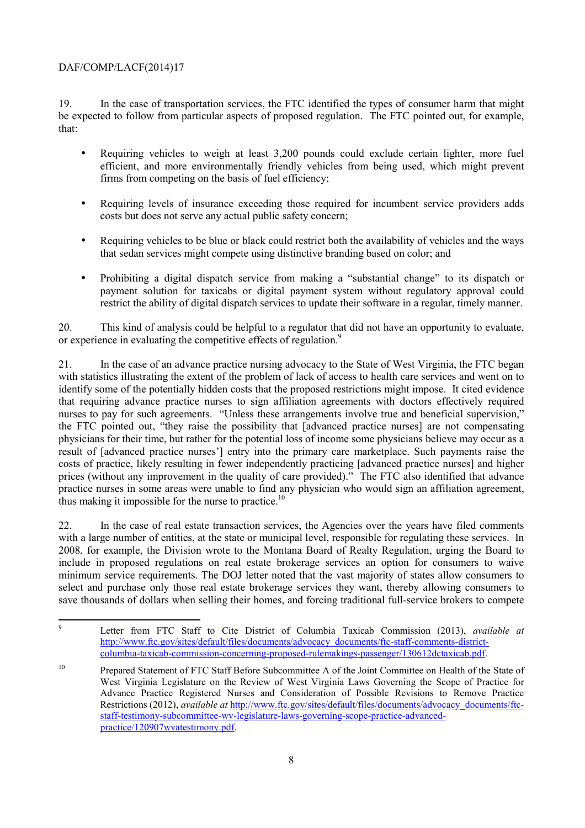19. In the case of transportation services, the FTC identified the types of consumer harm that might be expected to follow from particular aspects of proposed regulation. The FTC pointed out, for example, that:

- Requiring vehicles to weigh at least 3,200 pounds could exclude certain lighter, more fuel efficient, and more environmentally friendly vehicles from being used, which might prevent firms from competing on the basis of fuel efficiency;
- • Requiring levels of insurance exceeding those required for incumbent service providers adds costs but does not serve any actual public safety concern;
- Requiring vehicles to be blue or black could restrict both the availability of vehicles and the ways that sedan services might compete using distinctive branding based on color; and
- • Prohibiting a digital dispatch service from making a "substantial change" to its dispatch or payment solution for taxicabs or digital payment system without regulatory approval could restrict the ability of digital dispatch services to update their software in a regular, timely manner.

20. This kind of analysis could be helpful to a regulator that did not have an opportunity to evaluate, or experience in evaluating the competitive effects of regulation.<sup>9</sup>

 prices (without any improvement in the quality of care provided)." The FTC also identified that advance 21. In the case of an advance practice nursing advocacy to the State of West Virginia, the FTC began with statistics illustrating the extent of the problem of lack of access to health care services and went on to identify some of the potentially hidden costs that the proposed restrictions might impose. It cited evidence that requiring advance practice nurses to sign affiliation agreements with doctors effectively required nurses to pay for such agreements. "Unless these arrangements involve true and beneficial supervision," the FTC pointed out, "they raise the possibility that [advanced practice nurses] are not compensating physicians for their time, but rather for the potential loss of income some physicians believe may occur as a result of [advanced practice nurses'] entry into the primary care marketplace. Such payments raise the costs of practice, likely resulting in fewer independently practicing [advanced practice nurses] and higher practice nurses in some areas were unable to find any physician who would sign an affiliation agreement, thus making it impossible for the nurse to practice.<sup>10</sup>

 with a large number of entities, at the state or municipal level, responsible for regulating these services. In include in proposed regulations on real estate brokerage services an option for consumers to waive 22. In the case of real estate transaction services, the Agencies over the years have filed comments 2008, for example, the Division wrote to the Montana Board of Realty Regulation, urging the Board to minimum service requirements. The DOJ letter noted that the vast majority of states allow consumers to select and purchase only those real estate brokerage services they want, thereby allowing consumers to save thousands of dollars when selling their homes, and forcing traditional full-service brokers to compete

 $\overline{a}$ <sup>9</sup> Letter from FTC Staff to Cite District of Columbia Taxicab Commission (2013), *available at*  http://www.ftc.gov/sites/default/files/documents/advocacy\_documents/ftc-staff-comments-districtcolumbia-taxicab-commission-concerning-proposed-rulemakings-passenger/130612dctaxicab.pdf.

<sup>10</sup> Prepared Statement of FTC Staff Before Subcommittee A of the Joint Committee on Health of the State of West Virginia Legislature on the Review of West Virginia Laws Governing the Scope of Practice for Advance Practice Registered Nurses and Consideration of Possible Revisions to Remove Practice Restrictions (2012), *available at http://www.ftc.gov/sites/default/files/documents/advocacy\_documents/ftc*staff-testimony-subcommittee-wv-legislature-laws-governing-scope-practice-advancedpractice/120907wvatestimony.pdf.